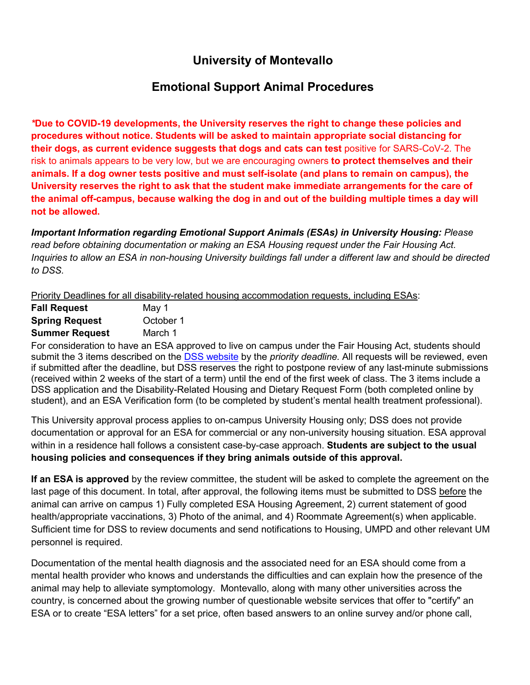## **University of Montevallo**

## **Emotional Support Animal Procedures**

*\****Due to COVID-19 developments, the University reserves the right to change these policies and procedures without notice. Students will be asked to maintain appropriate social distancing for their dogs, as current evidence suggests that dogs and cats can test** positive for SARS-CoV-2. The risk to animals appears to be very low, but we are encouraging owners **to protect themselves and their animals. If a dog owner tests positive and must self-isolate (and plans to remain on campus), the University reserves the right to ask that the student make immediate arrangements for the care of the animal off-campus, because walking the dog in and out of the building multiple times a day will not be allowed.**

*Important Information regarding Emotional Support Animals (ESAs) in University Housing: Please read before obtaining documentation or making an ESA Housing request under the Fair Housing Act. Inquiries to allow an ESA in non-housing University buildings fall under a different law and should be directed to DSS.*

Priority Deadlines for all disability-related housing accommodation requests, including ESAs:

| <b>Fall Request</b>   | May 1     |
|-----------------------|-----------|
| <b>Spring Request</b> | October 1 |
| <b>Summer Request</b> | March 1   |

For consideration to have an ESA approved to live on campus under the Fair Housing Act, students should submit the 3 items described on the [DSS website](https://www.montevallo.edu/campus-life/student-services/disability-support-services/getting-started/disability-related-housing-dietary-requests/) by the *priority deadline.* All requests will be reviewed, even if submitted after the deadline, but DSS reserves the right to postpone review of any last-minute submissions (received within 2 weeks of the start of a term) until the end of the first week of class. The 3 items include a DSS application and the Disability-Related Housing and Dietary Request Form (both completed online by student), and an ESA Verification form (to be completed by student's mental health treatment professional).

This University approval process applies to on-campus University Housing only; DSS does not provide documentation or approval for an ESA for commercial or any non-university housing situation. ESA approval within in a residence hall follows a consistent case-by-case approach. **Students are subject to the usual housing policies and consequences if they bring animals outside of this approval.**

**If an ESA is approved** by the review committee, the student will be asked to complete the agreement on the last page of this document. In total, after approval, the following items must be submitted to DSS before the animal can arrive on campus 1) Fully completed ESA Housing Agreement, 2) current statement of good health/appropriate vaccinations, 3) Photo of the animal, and 4) Roommate Agreement(s) when applicable. Sufficient time for DSS to review documents and send notifications to Housing, UMPD and other relevant UM personnel is required.

Documentation of the mental health diagnosis and the associated need for an ESA should come from a mental health provider who knows and understands the difficulties and can explain how the presence of the animal may help to alleviate symptomology. Montevallo, along with many other universities across the country, is concerned about the growing number of questionable website services that offer to "certify" an ESA or to create "ESA letters" for a set price, often based answers to an online survey and/or phone call,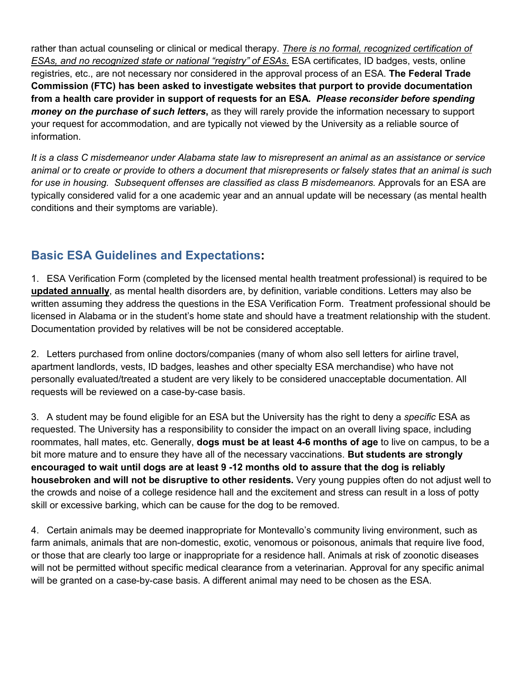rather than actual counseling or clinical or medical therapy. *There is no formal, recognized certification of ESAs, and no recognized state or national "registry" of ESAs.* ESA certificates, ID badges, vests, online registries, etc., are not necessary nor considered in the approval process of an ESA. **The Federal Trade Commission (FTC) has been asked to investigate websites that purport to provide documentation from a health care provider in support of requests for an ESA.** *Please reconsider before spending money on the purchase of such letters***,** as they will rarely provide the information necessary to support your request for accommodation, and are typically not viewed by the University as a reliable source of information.

*It is a class C misdemeanor under Alabama state law to misrepresent an animal as an assistance or service animal or to create or provide to others a document that misrepresents or falsely states that an animal is such for use in housing. Subsequent offenses are classified as class B misdemeanors.* Approvals for an ESA are typically considered valid for a one academic year and an annual update will be necessary (as mental health conditions and their symptoms are variable).

## **Basic ESA Guidelines and Expectations:**

1. ESA Verification Form (completed by the licensed mental health treatment professional) is required to be **updated annually**, as mental health disorders are, by definition, variable conditions. Letters may also be written assuming they address the questions in the ESA Verification Form. Treatment professional should be licensed in Alabama or in the student's home state and should have a treatment relationship with the student. Documentation provided by relatives will be not be considered acceptable.

2. Letters purchased from online doctors/companies (many of whom also sell letters for airline travel, apartment landlords, vests, ID badges, leashes and other specialty ESA merchandise) who have not personally evaluated/treated a student are very likely to be considered unacceptable documentation. All requests will be reviewed on a case-by-case basis.

3. A student may be found eligible for an ESA but the University has the right to deny a *specific* ESA as requested. The University has a responsibility to consider the impact on an overall living space, including roommates, hall mates, etc. Generally, **dogs must be at least 4-6 months of age** to live on campus, to be a bit more mature and to ensure they have all of the necessary vaccinations. **But students are strongly encouraged to wait until dogs are at least 9 -12 months old to assure that the dog is reliably housebroken and will not be disruptive to other residents.** Very young puppies often do not adjust well to the crowds and noise of a college residence hall and the excitement and stress can result in a loss of potty skill or excessive barking, which can be cause for the dog to be removed.

4. Certain animals may be deemed inappropriate for Montevallo's community living environment, such as farm animals, animals that are non-domestic, exotic, venomous or poisonous, animals that require live food, or those that are clearly too large or inappropriate for a residence hall. Animals at risk of zoonotic diseases will not be permitted without specific medical clearance from a veterinarian. Approval for any specific animal will be granted on a case-by-case basis. A different animal may need to be chosen as the ESA.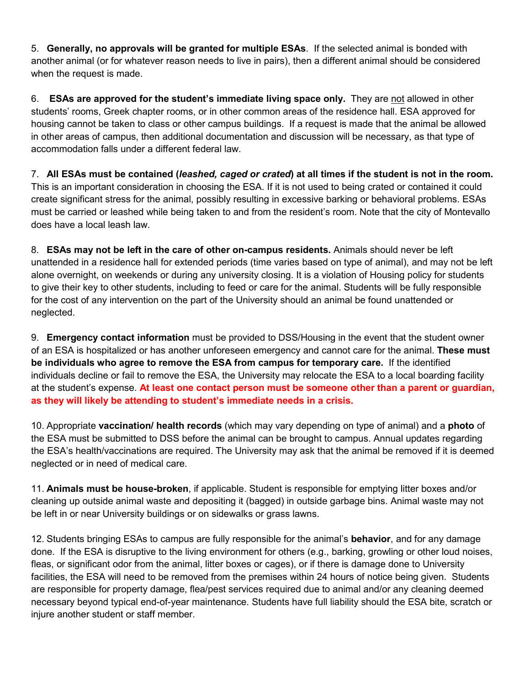5. **Generally, no approvals will be granted for multiple ESAs**. If the selected animal is bonded with another animal (or for whatever reason needs to live in pairs), then a different animal should be considered when the request is made.

6. **ESAs are approved for the student's immediate living space only.** They are not allowed in other students' rooms, Greek chapter rooms, or in other common areas of the residence hall. ESA approved for housing cannot be taken to class or other campus buildings. If a request is made that the animal be allowed in other areas of campus, then additional documentation and discussion will be necessary, as that type of accommodation falls under a different federal law.

7. **All ESAs must be contained (***leashed, caged or crated***) at all times if the student is not in the room.** This is an important consideration in choosing the ESA. If it is not used to being crated or contained it could create significant stress for the animal, possibly resulting in excessive barking or behavioral problems. ESAs must be carried or leashed while being taken to and from the resident's room. Note that the city of Montevallo does have a local leash law.

8. **ESAs may not be left in the care of other on-campus residents.** Animals should never be left unattended in a residence hall for extended periods (time varies based on type of animal), and may not be left alone overnight, on weekends or during any university closing. It is a violation of Housing policy for students to give their key to other students, including to feed or care for the animal. Students will be fully responsible for the cost of any intervention on the part of the University should an animal be found unattended or neglected.

9. **Emergency contact information** must be provided to DSS/Housing in the event that the student owner of an ESA is hospitalized or has another unforeseen emergency and cannot care for the animal. **These must be individuals who agree to remove the ESA from campus for temporary care.** If the identified individuals decline or fail to remove the ESA, the University may relocate the ESA to a local boarding facility at the student's expense. **At least one contact person must be someone other than a parent or guardian, as they will likely be attending to student's immediate needs in a crisis.**

10. Appropriate **vaccination/ health records** (which may vary depending on type of animal) and a **photo** of the ESA must be submitted to DSS before the animal can be brought to campus. Annual updates regarding the ESA's health/vaccinations are required. The University may ask that the animal be removed if it is deemed neglected or in need of medical care.

11. **Animals must be house-broken**, if applicable. Student is responsible for emptying litter boxes and/or cleaning up outside animal waste and depositing it (bagged) in outside garbage bins. Animal waste may not be left in or near University buildings or on sidewalks or grass lawns.

12. Students bringing ESAs to campus are fully responsible for the animal's **behavior**, and for any damage done. If the ESA is disruptive to the living environment for others (e.g., barking, growling or other loud noises, fleas, or significant odor from the animal, litter boxes or cages), or if there is damage done to University facilities, the ESA will need to be removed from the premises within 24 hours of notice being given. Students are responsible for property damage, flea/pest services required due to animal and/or any cleaning deemed necessary beyond typical end-of-year maintenance. Students have full liability should the ESA bite, scratch or injure another student or staff member.